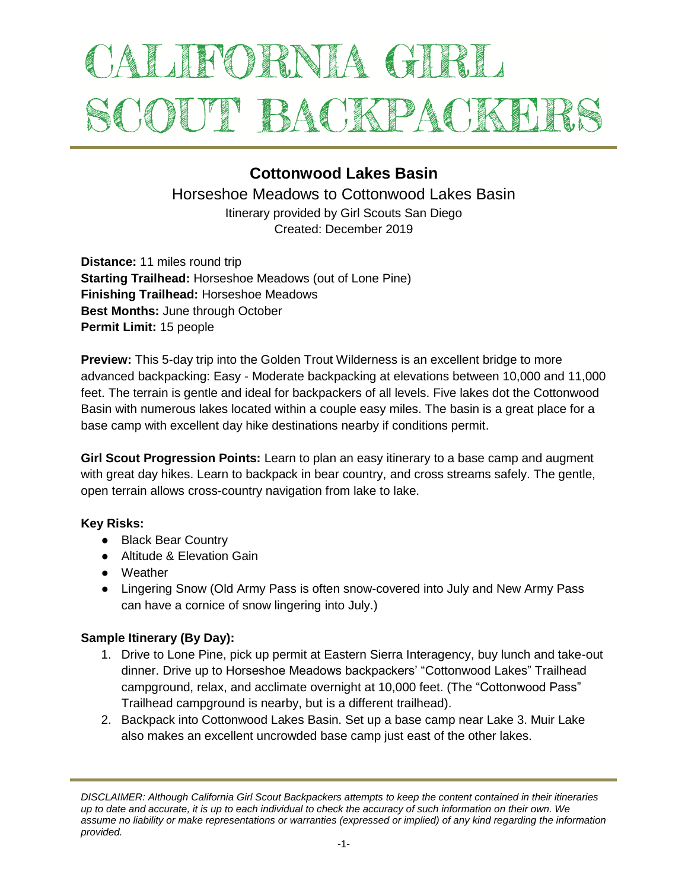# ALIFORNIA GIRL SCOUT BACKPACKET

## **Cottonwood Lakes Basin**

Horseshoe Meadows to Cottonwood Lakes Basin

Itinerary provided by Girl Scouts San Diego Created: December 2019

**Distance:** 11 miles round trip **Starting Trailhead:** Horseshoe Meadows (out of Lone Pine) **Finishing Trailhead:** Horseshoe Meadows **Best Months:** June through October **Permit Limit:** 15 people

**Preview:** This 5-day trip into the Golden Trout Wilderness is an excellent bridge to more advanced backpacking: Easy - Moderate backpacking at elevations between 10,000 and 11,000 feet. The terrain is gentle and ideal for backpackers of all levels. Five lakes dot the Cottonwood Basin with numerous lakes located within a couple easy miles. The basin is a great place for a base camp with excellent day hike destinations nearby if conditions permit.

**Girl Scout Progression Points:** Learn to plan an easy itinerary to a base camp and augment with great day hikes. Learn to backpack in bear country, and cross streams safely. The gentle, open terrain allows cross-country navigation from lake to lake.

#### **Key Risks:**

- Black Bear Country
- Altitude & Elevation Gain
- Weather
- Lingering Snow (Old Army Pass is often snow-covered into July and New Army Pass can have a cornice of snow lingering into July.)

#### **Sample Itinerary (By Day):**

- 1. Drive to Lone Pine, pick up permit at Eastern Sierra Interagency, buy lunch and take-out dinner. Drive up to Horseshoe Meadows backpackers' "Cottonwood Lakes" Trailhead campground, relax, and acclimate overnight at 10,000 feet. (The "Cottonwood Pass" Trailhead campground is nearby, but is a different trailhead).
- 2. Backpack into Cottonwood Lakes Basin. Set up a base camp near Lake 3. Muir Lake also makes an excellent uncrowded base camp just east of the other lakes.

*DISCLAIMER: Although California Girl Scout Backpackers attempts to keep the content contained in their itineraries up to date and accurate, it is up to each individual to check the accuracy of such information on their own. We assume no liability or make representations or warranties (expressed or implied) of any kind regarding the information provided.*